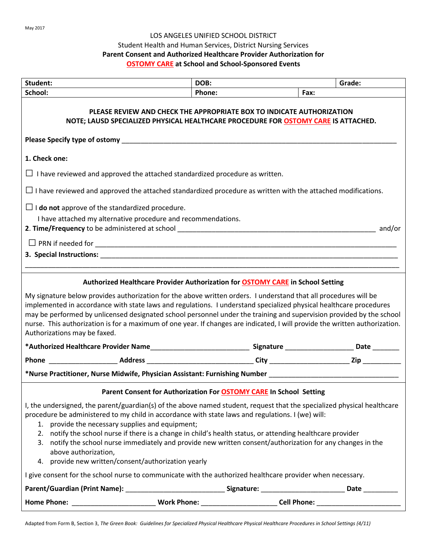#### LOS ANGELES UNIFIED SCHOOL DISTRICT

### Student Health and Human Services, District Nursing Services

## **Parent Consent and Authorized Healthcare Provider Authorization for**

### **OSTOMY CARE at School and School-Sponsored Events**

| Student:                                                                                                                                                                                                                                                                                                                                                                                                                                                                                                                                                                                        | DOB:   | Grade: |  |
|-------------------------------------------------------------------------------------------------------------------------------------------------------------------------------------------------------------------------------------------------------------------------------------------------------------------------------------------------------------------------------------------------------------------------------------------------------------------------------------------------------------------------------------------------------------------------------------------------|--------|--------|--|
| School:                                                                                                                                                                                                                                                                                                                                                                                                                                                                                                                                                                                         | Phone: | Fax:   |  |
| PLEASE REVIEW AND CHECK THE APPROPRIATE BOX TO INDICATE AUTHORIZATION<br>NOTE; LAUSD SPECIALIZED PHYSICAL HEALTHCARE PROCEDURE FOR OSTOMY CARE IS ATTACHED.                                                                                                                                                                                                                                                                                                                                                                                                                                     |        |        |  |
|                                                                                                                                                                                                                                                                                                                                                                                                                                                                                                                                                                                                 |        |        |  |
| 1. Check one:                                                                                                                                                                                                                                                                                                                                                                                                                                                                                                                                                                                   |        |        |  |
| $\Box$ I have reviewed and approved the attached standardized procedure as written.                                                                                                                                                                                                                                                                                                                                                                                                                                                                                                             |        |        |  |
| $\Box$ I have reviewed and approved the attached standardized procedure as written with the attached modifications.                                                                                                                                                                                                                                                                                                                                                                                                                                                                             |        |        |  |
| $\Box$ <b>I do not</b> approve of the standardized procedure.<br>I have attached my alternative procedure and recommendations.                                                                                                                                                                                                                                                                                                                                                                                                                                                                  |        |        |  |
|                                                                                                                                                                                                                                                                                                                                                                                                                                                                                                                                                                                                 |        |        |  |
|                                                                                                                                                                                                                                                                                                                                                                                                                                                                                                                                                                                                 |        |        |  |
|                                                                                                                                                                                                                                                                                                                                                                                                                                                                                                                                                                                                 |        |        |  |
| Authorized Healthcare Provider Authorization for <b>OSTOMY CARE</b> in School Setting                                                                                                                                                                                                                                                                                                                                                                                                                                                                                                           |        |        |  |
| My signature below provides authorization for the above written orders. I understand that all procedures will be<br>implemented in accordance with state laws and regulations. I understand specialized physical healthcare procedures<br>may be performed by unlicensed designated school personnel under the training and supervision provided by the school<br>nurse. This authorization is for a maximum of one year. If changes are indicated, I will provide the written authorization.<br>Authorizations may be faxed.                                                                   |        |        |  |
|                                                                                                                                                                                                                                                                                                                                                                                                                                                                                                                                                                                                 |        |        |  |
|                                                                                                                                                                                                                                                                                                                                                                                                                                                                                                                                                                                                 |        |        |  |
| *Nurse Practitioner, Nurse Midwife, Physician Assistant: Furnishing Number ___________________________________                                                                                                                                                                                                                                                                                                                                                                                                                                                                                  |        |        |  |
| Parent Consent for Authorization For OSTOMY CARE In School Setting                                                                                                                                                                                                                                                                                                                                                                                                                                                                                                                              |        |        |  |
| I, the undersigned, the parent/guardian(s) of the above named student, request that the specialized physical healthcare<br>procedure be administered to my child in accordance with state laws and regulations. I (we) will:<br>provide the necessary supplies and equipment;<br>1.<br>2. notify the school nurse if there is a change in child's health status, or attending healthcare provider<br>3. notify the school nurse immediately and provide new written consent/authorization for any changes in the<br>above authorization,<br>4. provide new written/consent/authorization yearly |        |        |  |
| I give consent for the school nurse to communicate with the authorized healthcare provider when necessary.                                                                                                                                                                                                                                                                                                                                                                                                                                                                                      |        |        |  |
| Parent/Guardian (Print Name): ___________________________________Signature: _____________________________Date _________________________                                                                                                                                                                                                                                                                                                                                                                                                                                                         |        |        |  |
|                                                                                                                                                                                                                                                                                                                                                                                                                                                                                                                                                                                                 |        |        |  |